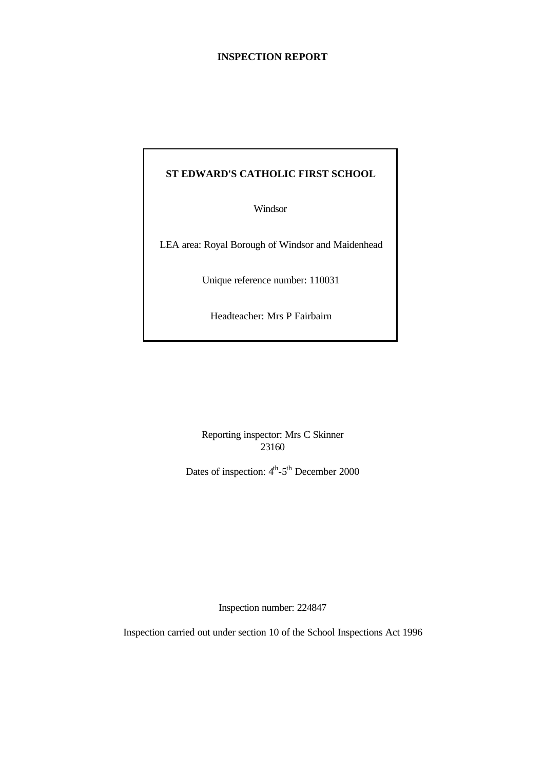#### **INSPECTION REPORT**

# **ST EDWARD'S CATHOLIC FIRST SCHOOL**

Windsor

LEA area: Royal Borough of Windsor and Maidenhead

Unique reference number: 110031

Headteacher: Mrs P Fairbairn

Reporting inspector: Mrs C Skinner 23160

Dates of inspection:  $4<sup>th</sup> - 5<sup>th</sup>$  December 2000

Inspection number: 224847

Inspection carried out under section 10 of the School Inspections Act 1996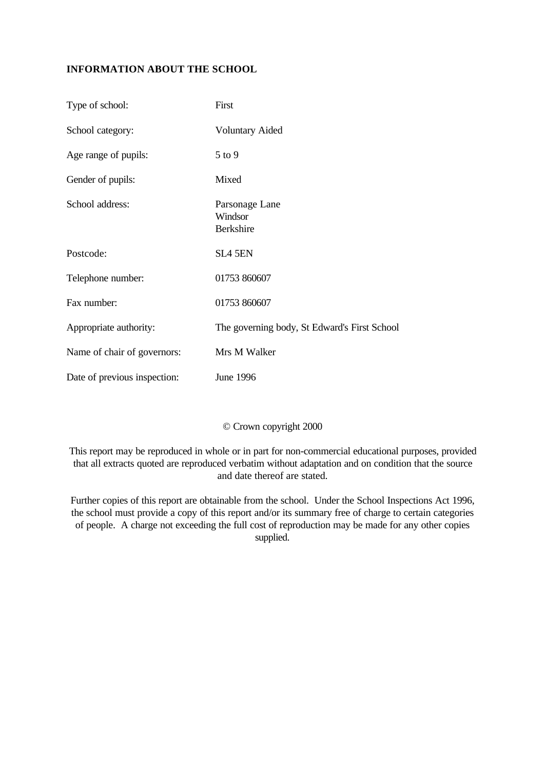# **INFORMATION ABOUT THE SCHOOL**

| Type of school:              | First                                         |
|------------------------------|-----------------------------------------------|
| School category:             | <b>Voluntary Aided</b>                        |
| Age range of pupils:         | $5$ to $9$                                    |
| Gender of pupils:            | Mixed                                         |
| School address:              | Parsonage Lane<br>Windsor<br><b>Berkshire</b> |
| Postcode:                    | SL4 5EN                                       |
| Telephone number:            | 01753 860607                                  |
| Fax number:                  | 01753 860607                                  |
| Appropriate authority:       | The governing body, St Edward's First School  |
| Name of chair of governors:  | Mrs M Walker                                  |
| Date of previous inspection: | <b>June 1996</b>                              |

# © Crown copyright 2000

This report may be reproduced in whole or in part for non-commercial educational purposes, provided that all extracts quoted are reproduced verbatim without adaptation and on condition that the source and date thereof are stated.

Further copies of this report are obtainable from the school. Under the School Inspections Act 1996, the school must provide a copy of this report and/or its summary free of charge to certain categories of people. A charge not exceeding the full cost of reproduction may be made for any other copies supplied.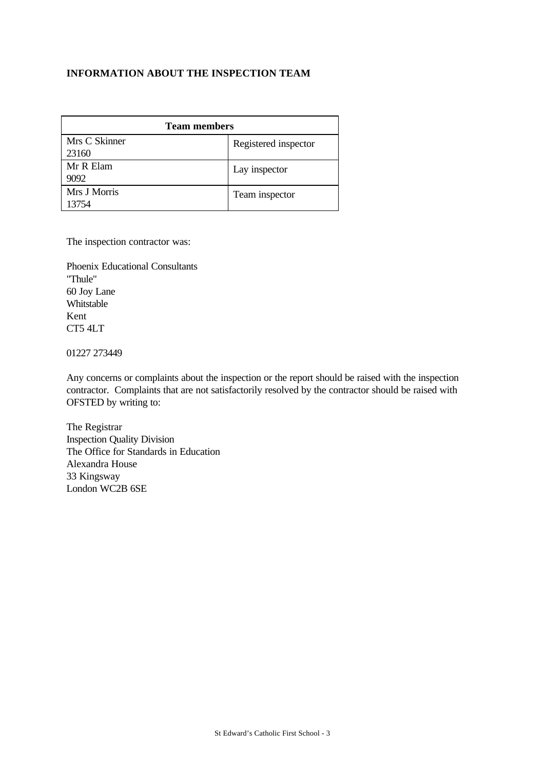# **INFORMATION ABOUT THE INSPECTION TEAM**

| <b>Team members</b>    |                      |  |  |
|------------------------|----------------------|--|--|
| Mrs C Skinner<br>23160 | Registered inspector |  |  |
| Mr R Elam<br>9092      | Lay inspector        |  |  |
| Mrs J Morris<br>13754  | Team inspector       |  |  |

The inspection contractor was:

Phoenix Educational Consultants "Thule" 60 Joy Lane Whitstable Kent CT5 4LT

01227 273449

Any concerns or complaints about the inspection or the report should be raised with the inspection contractor. Complaints that are not satisfactorily resolved by the contractor should be raised with OFSTED by writing to:

The Registrar Inspection Quality Division The Office for Standards in Education Alexandra House 33 Kingsway London WC2B 6SE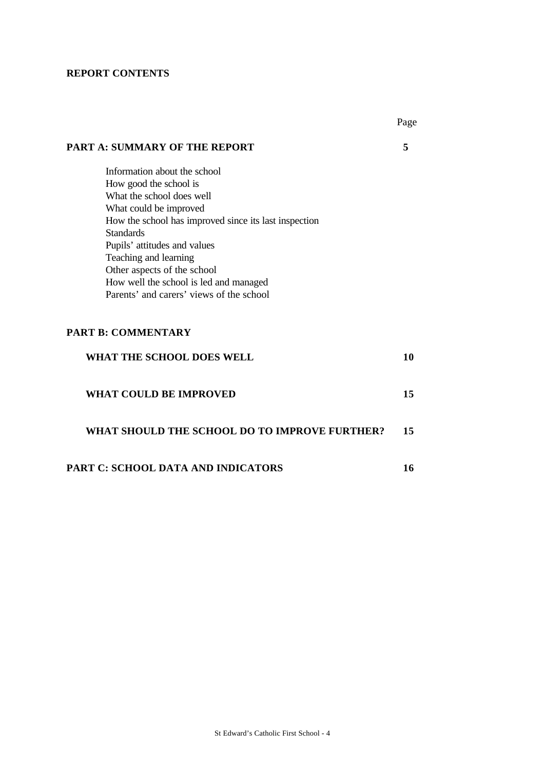### **REPORT CONTENTS**

|                                                       | Page |
|-------------------------------------------------------|------|
| <b>PART A: SUMMARY OF THE REPORT</b>                  | 5    |
| Information about the school                          |      |
| How good the school is                                |      |
| What the school does well                             |      |
| What could be improved                                |      |
| How the school has improved since its last inspection |      |
| <b>Standards</b>                                      |      |
| Pupils' attitudes and values                          |      |
| Teaching and learning                                 |      |
| Other aspects of the school                           |      |
| How well the school is led and managed                |      |
| Parents' and carers' views of the school              |      |
| <b>PART B: COMMENTARY</b>                             |      |
| <b>WHAT THE SCHOOL DOES WELL</b>                      | 10   |
| <b>WHAT COULD BE IMPROVED</b>                         | 15   |
| WHAT SHOULD THE SCHOOL DO TO IMPROVE FURTHER?         | 15   |
| PART C: SCHOOL DATA AND INDICATORS                    | 16   |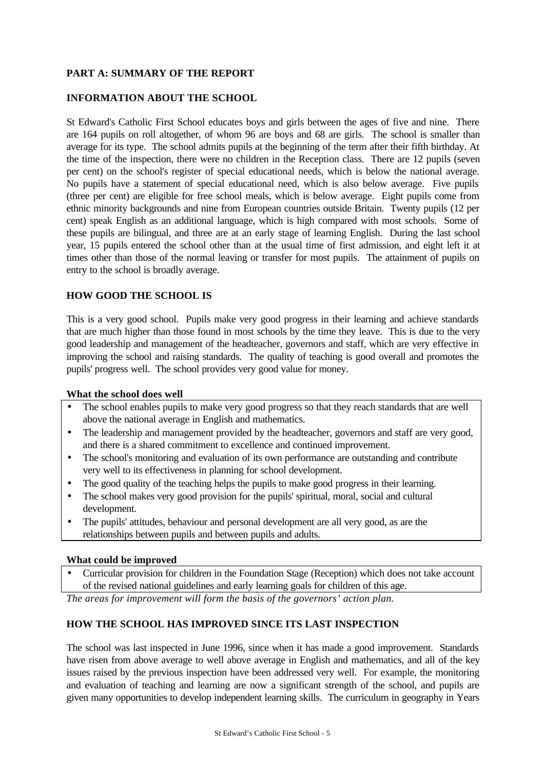# **PART A: SUMMARY OF THE REPORT**

### **INFORMATION ABOUT THE SCHOOL**

St Edward's Catholic First School educates boys and girls between the ages of five and nine. There are 164 pupils on roll altogether, of whom 96 are boys and 68 are girls. The school is smaller than average for its type. The school admits pupils at the beginning of the term after their fifth birthday. At the time of the inspection, there were no children in the Reception class. There are 12 pupils (seven per cent) on the school's register of special educational needs, which is below the national average. No pupils have a statement of special educational need, which is also below average. Five pupils (three per cent) are eligible for free school meals, which is below average. Eight pupils come from ethnic minority backgrounds and nine from European countries outside Britain. Twenty pupils (12 per cent) speak English as an additional language, which is high compared with most schools. Some of these pupils are bilingual, and three are at an early stage of learning English. During the last school year, 15 pupils entered the school other than at the usual time of first admission, and eight left it at times other than those of the normal leaving or transfer for most pupils. The attainment of pupils on entry to the school is broadly average.

#### **HOW GOOD THE SCHOOL IS**

This is a very good school. Pupils make very good progress in their learning and achieve standards that are much higher than those found in most schools by the time they leave. This is due to the very good leadership and management of the headteacher, governors and staff, which are very effective in improving the school and raising standards. The quality of teaching is good overall and promotes the pupils' progress well. The school provides very good value for money.

#### **What the school does well**

- The school enables pupils to make very good progress so that they reach standards that are well above the national average in English and mathematics.
- The leadership and management provided by the headteacher, governors and staff are very good, and there is a shared commitment to excellence and continued improvement.
- The school's monitoring and evaluation of its own performance are outstanding and contribute very well to its effectiveness in planning for school development.
- The good quality of the teaching helps the pupils to make good progress in their learning.
- The school makes very good provision for the pupils' spiritual, moral, social and cultural development.
- The pupils' attitudes, behaviour and personal development are all very good, as are the relationships between pupils and between pupils and adults.

#### **What could be improved**

• Curricular provision for children in the Foundation Stage (Reception) which does not take account of the revised national guidelines and early learning goals for children of this age.

*The areas for improvement will form the basis of the governors' action plan.*

# **HOW THE SCHOOL HAS IMPROVED SINCE ITS LAST INSPECTION**

The school was last inspected in June 1996, since when it has made a good improvement. Standards have risen from above average to well above average in English and mathematics, and all of the key issues raised by the previous inspection have been addressed very well. For example, the monitoring and evaluation of teaching and learning are now a significant strength of the school, and pupils are given many opportunities to develop independent learning skills. The curriculum in geography in Years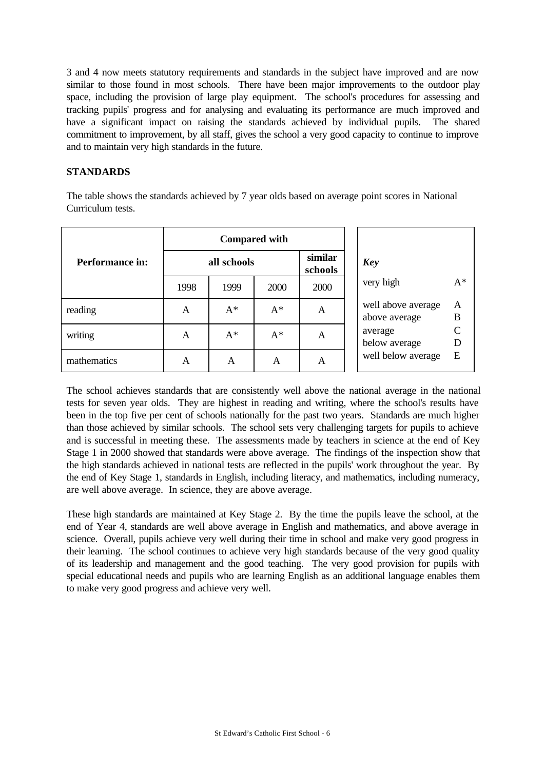3 and 4 now meets statutory requirements and standards in the subject have improved and are now similar to those found in most schools. There have been major improvements to the outdoor play space, including the provision of large play equipment. The school's procedures for assessing and tracking pupils' progress and for analysing and evaluating its performance are much improved and have a significant impact on raising the standards achieved by individual pupils. The shared commitment to improvement, by all staff, gives the school a very good capacity to continue to improve and to maintain very high standards in the future.

#### **STANDARDS**

The table shows the standards achieved by 7 year olds based on average point scores in National Curriculum tests.

|                 | <b>Compared with</b> |       |       |                    |                                               |
|-----------------|----------------------|-------|-------|--------------------|-----------------------------------------------|
| Performance in: | all schools          |       |       | similar<br>schools | Key                                           |
|                 | 1998                 | 1999  | 2000  | 2000               | $A^*$<br>very high                            |
| reading         | A                    | $A^*$ | $A^*$ | A                  | well above average<br>A<br>B<br>above average |
| writing         | A                    | $A^*$ | $A^*$ | A                  | average<br>below average                      |
| mathematics     | A                    | A     | A     | A                  | well below average<br>E                       |

The school achieves standards that are consistently well above the national average in the national tests for seven year olds. They are highest in reading and writing, where the school's results have been in the top five per cent of schools nationally for the past two years. Standards are much higher than those achieved by similar schools. The school sets very challenging targets for pupils to achieve and is successful in meeting these. The assessments made by teachers in science at the end of Key Stage 1 in 2000 showed that standards were above average. The findings of the inspection show that the high standards achieved in national tests are reflected in the pupils' work throughout the year. By the end of Key Stage 1, standards in English, including literacy, and mathematics, including numeracy, are well above average. In science, they are above average.

These high standards are maintained at Key Stage 2. By the time the pupils leave the school, at the end of Year 4, standards are well above average in English and mathematics, and above average in science. Overall, pupils achieve very well during their time in school and make very good progress in their learning. The school continues to achieve very high standards because of the very good quality of its leadership and management and the good teaching. The very good provision for pupils with special educational needs and pupils who are learning English as an additional language enables them to make very good progress and achieve very well.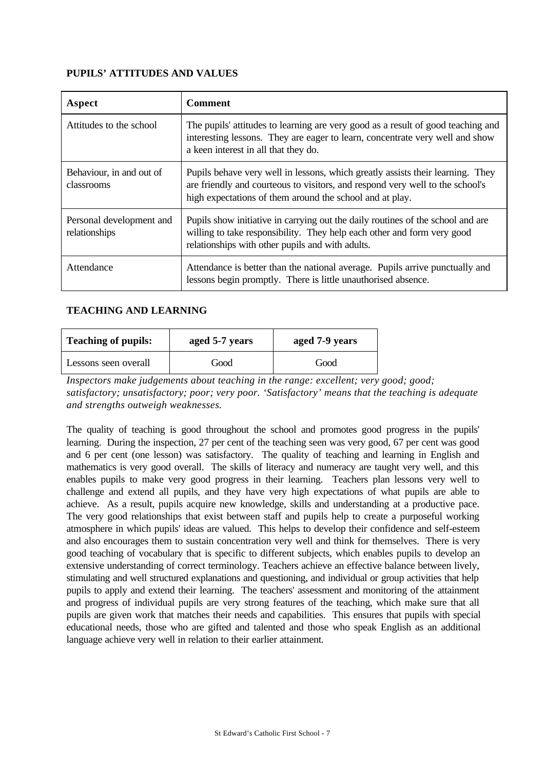### **PUPILS' ATTITUDES AND VALUES**

| Aspect                                    | <b>Comment</b>                                                                                                                                                                                                              |
|-------------------------------------------|-----------------------------------------------------------------------------------------------------------------------------------------------------------------------------------------------------------------------------|
| Attitudes to the school                   | The pupils' attitudes to learning are very good as a result of good teaching and<br>interesting lessons. They are eager to learn, concentrate very well and show<br>a keen interest in all that they do.                    |
| Behaviour, in and out of<br>classrooms    | Pupils behave very well in lessons, which greatly assists their learning. They<br>are friendly and courteous to visitors, and respond very well to the school's<br>high expectations of them around the school and at play. |
| Personal development and<br>relationships | Pupils show initiative in carrying out the daily routines of the school and are<br>willing to take responsibility. They help each other and form very good<br>relationships with other pupils and with adults.              |
| Attendance                                | Attendance is better than the national average. Pupils arrive punctually and<br>lessons begin promptly. There is little unauthorised absence.                                                                               |

#### **TEACHING AND LEARNING**

| <b>Teaching of pupils:</b> | aged 5-7 years | aged 7-9 years |  |
|----------------------------|----------------|----------------|--|
| Lessons seen overall       | Good           | Good           |  |

*Inspectors make judgements about teaching in the range: excellent; very good; good; satisfactory; unsatisfactory; poor; very poor. 'Satisfactory' means that the teaching is adequate and strengths outweigh weaknesses.*

The quality of teaching is good throughout the school and promotes good progress in the pupils' learning. During the inspection, 27 per cent of the teaching seen was very good, 67 per cent was good and 6 per cent (one lesson) was satisfactory. The quality of teaching and learning in English and mathematics is very good overall. The skills of literacy and numeracy are taught very well, and this enables pupils to make very good progress in their learning. Teachers plan lessons very well to challenge and extend all pupils, and they have very high expectations of what pupils are able to achieve. As a result, pupils acquire new knowledge, skills and understanding at a productive pace. The very good relationships that exist between staff and pupils help to create a purposeful working atmosphere in which pupils' ideas are valued. This helps to develop their confidence and self-esteem and also encourages them to sustain concentration very well and think for themselves. There is very good teaching of vocabulary that is specific to different subjects, which enables pupils to develop an extensive understanding of correct terminology. Teachers achieve an effective balance between lively, stimulating and well structured explanations and questioning, and individual or group activities that help pupils to apply and extend their learning. The teachers' assessment and monitoring of the attainment and progress of individual pupils are very strong features of the teaching, which make sure that all pupils are given work that matches their needs and capabilities. This ensures that pupils with special educational needs, those who are gifted and talented and those who speak English as an additional language achieve very well in relation to their earlier attainment.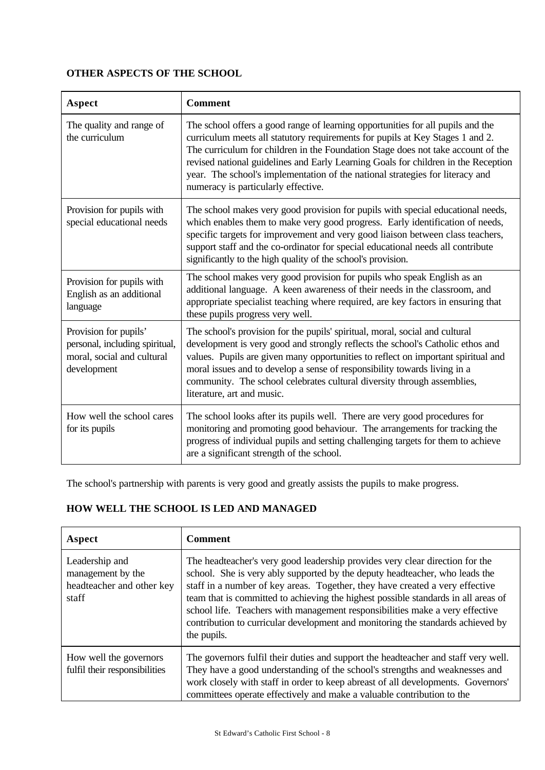# **OTHER ASPECTS OF THE SCHOOL**

| Aspect                                                                                               | <b>Comment</b>                                                                                                                                                                                                                                                                                                                                                                                                                                                     |
|------------------------------------------------------------------------------------------------------|--------------------------------------------------------------------------------------------------------------------------------------------------------------------------------------------------------------------------------------------------------------------------------------------------------------------------------------------------------------------------------------------------------------------------------------------------------------------|
| The quality and range of<br>the curriculum                                                           | The school offers a good range of learning opportunities for all pupils and the<br>curriculum meets all statutory requirements for pupils at Key Stages 1 and 2.<br>The curriculum for children in the Foundation Stage does not take account of the<br>revised national guidelines and Early Learning Goals for children in the Reception<br>year. The school's implementation of the national strategies for literacy and<br>numeracy is particularly effective. |
| Provision for pupils with<br>special educational needs                                               | The school makes very good provision for pupils with special educational needs,<br>which enables them to make very good progress. Early identification of needs,<br>specific targets for improvement and very good liaison between class teachers,<br>support staff and the co-ordinator for special educational needs all contribute<br>significantly to the high quality of the school's provision.                                                              |
| Provision for pupils with<br>English as an additional<br>language                                    | The school makes very good provision for pupils who speak English as an<br>additional language. A keen awareness of their needs in the classroom, and<br>appropriate specialist teaching where required, are key factors in ensuring that<br>these pupils progress very well.                                                                                                                                                                                      |
| Provision for pupils'<br>personal, including spiritual,<br>moral, social and cultural<br>development | The school's provision for the pupils' spiritual, moral, social and cultural<br>development is very good and strongly reflects the school's Catholic ethos and<br>values. Pupils are given many opportunities to reflect on important spiritual and<br>moral issues and to develop a sense of responsibility towards living in a<br>community. The school celebrates cultural diversity through assemblies,<br>literature, art and music.                          |
| How well the school cares<br>for its pupils                                                          | The school looks after its pupils well. There are very good procedures for<br>monitoring and promoting good behaviour. The arrangements for tracking the<br>progress of individual pupils and setting challenging targets for them to achieve<br>are a significant strength of the school.                                                                                                                                                                         |

The school's partnership with parents is very good and greatly assists the pupils to make progress.

# **HOW WELL THE SCHOOL IS LED AND MANAGED**

| Aspect                                                                    | <b>Comment</b>                                                                                                                                                                                                                                                                                                                                                                                                                                                                                                      |
|---------------------------------------------------------------------------|---------------------------------------------------------------------------------------------------------------------------------------------------------------------------------------------------------------------------------------------------------------------------------------------------------------------------------------------------------------------------------------------------------------------------------------------------------------------------------------------------------------------|
| Leadership and<br>management by the<br>headteacher and other key<br>staff | The headteacher's very good leadership provides very clear direction for the<br>school. She is very ably supported by the deputy headteacher, who leads the<br>staff in a number of key areas. Together, they have created a very effective<br>team that is committed to achieving the highest possible standards in all areas of<br>school life. Teachers with management responsibilities make a very effective<br>contribution to curricular development and monitoring the standards achieved by<br>the pupils. |
| How well the governors<br>fulfil their responsibilities                   | The governors fulfil their duties and support the headteacher and staff very well.<br>They have a good understanding of the school's strengths and weaknesses and<br>work closely with staff in order to keep abreast of all developments. Governors'<br>committees operate effectively and make a valuable contribution to the                                                                                                                                                                                     |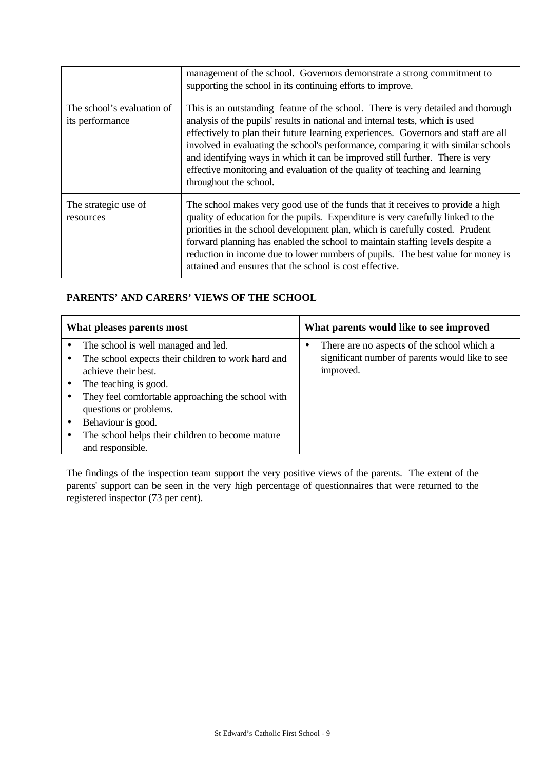|                                               | management of the school. Governors demonstrate a strong commitment to<br>supporting the school in its continuing efforts to improve.                                                                                                                                                                                                                                                                                                                                                                                                    |
|-----------------------------------------------|------------------------------------------------------------------------------------------------------------------------------------------------------------------------------------------------------------------------------------------------------------------------------------------------------------------------------------------------------------------------------------------------------------------------------------------------------------------------------------------------------------------------------------------|
| The school's evaluation of<br>its performance | This is an outstanding feature of the school. There is very detailed and thorough<br>analysis of the pupils' results in national and internal tests, which is used<br>effectively to plan their future learning experiences. Governors and staff are all<br>involved in evaluating the school's performance, comparing it with similar schools<br>and identifying ways in which it can be improved still further. There is very<br>effective monitoring and evaluation of the quality of teaching and learning<br>throughout the school. |
| The strategic use of<br>resources             | The school makes very good use of the funds that it receives to provide a high<br>quality of education for the pupils. Expenditure is very carefully linked to the<br>priorities in the school development plan, which is carefully costed. Prudent<br>forward planning has enabled the school to maintain staffing levels despite a<br>reduction in income due to lower numbers of pupils. The best value for money is<br>attained and ensures that the school is cost effective.                                                       |

# **PARENTS' AND CARERS' VIEWS OF THE SCHOOL**

| What pleases parents most |                                                                                                                                                                                                                                                | What parents would like to see improved                                                                    |  |  |
|---------------------------|------------------------------------------------------------------------------------------------------------------------------------------------------------------------------------------------------------------------------------------------|------------------------------------------------------------------------------------------------------------|--|--|
|                           | The school is well managed and led.<br>The school expects their children to work hard and<br>achieve their best.<br>The teaching is good.<br>They feel comfortable approaching the school with<br>questions or problems.<br>Behaviour is good. | There are no aspects of the school which a<br>significant number of parents would like to see<br>improved. |  |  |
|                           | The school helps their children to become mature<br>and responsible.                                                                                                                                                                           |                                                                                                            |  |  |

The findings of the inspection team support the very positive views of the parents. The extent of the parents' support can be seen in the very high percentage of questionnaires that were returned to the registered inspector (73 per cent).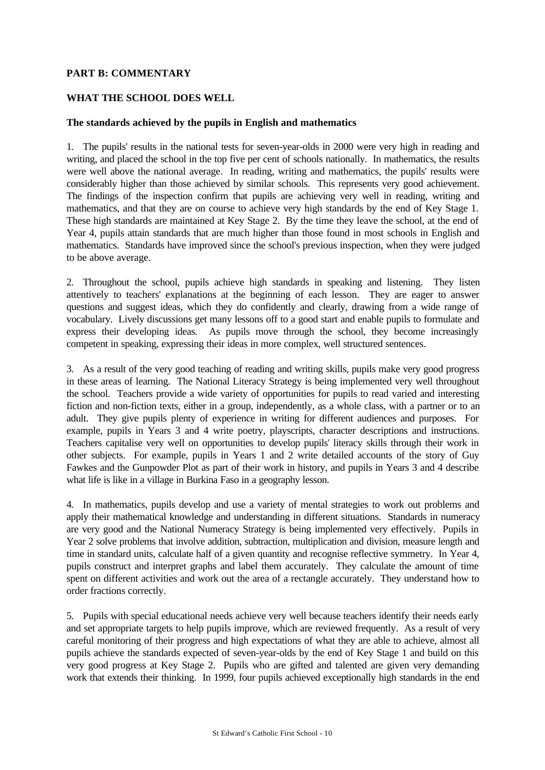#### **PART B: COMMENTARY**

### **WHAT THE SCHOOL DOES WELL**

#### **The standards achieved by the pupils in English and mathematics**

1. The pupils' results in the national tests for seven-year-olds in 2000 were very high in reading and writing, and placed the school in the top five per cent of schools nationally. In mathematics, the results were well above the national average. In reading, writing and mathematics, the pupils' results were considerably higher than those achieved by similar schools. This represents very good achievement. The findings of the inspection confirm that pupils are achieving very well in reading, writing and mathematics, and that they are on course to achieve very high standards by the end of Key Stage 1. These high standards are maintained at Key Stage 2. By the time they leave the school, at the end of Year 4, pupils attain standards that are much higher than those found in most schools in English and mathematics. Standards have improved since the school's previous inspection, when they were judged to be above average.

2. Throughout the school, pupils achieve high standards in speaking and listening. They listen attentively to teachers' explanations at the beginning of each lesson. They are eager to answer questions and suggest ideas, which they do confidently and clearly, drawing from a wide range of vocabulary. Lively discussions get many lessons off to a good start and enable pupils to formulate and express their developing ideas. As pupils move through the school, they become increasingly competent in speaking, expressing their ideas in more complex, well structured sentences.

3. As a result of the very good teaching of reading and writing skills, pupils make very good progress in these areas of learning. The National Literacy Strategy is being implemented very well throughout the school. Teachers provide a wide variety of opportunities for pupils to read varied and interesting fiction and non-fiction texts, either in a group, independently, as a whole class, with a partner or to an adult. They give pupils plenty of experience in writing for different audiences and purposes. For example, pupils in Years 3 and 4 write poetry, playscripts, character descriptions and instructions. Teachers capitalise very well on opportunities to develop pupils' literacy skills through their work in other subjects. For example, pupils in Years 1 and 2 write detailed accounts of the story of Guy Fawkes and the Gunpowder Plot as part of their work in history, and pupils in Years 3 and 4 describe what life is like in a village in Burkina Faso in a geography lesson.

4. In mathematics, pupils develop and use a variety of mental strategies to work out problems and apply their mathematical knowledge and understanding in different situations. Standards in numeracy are very good and the National Numeracy Strategy is being implemented very effectively. Pupils in Year 2 solve problems that involve addition, subtraction, multiplication and division, measure length and time in standard units, calculate half of a given quantity and recognise reflective symmetry. In Year 4, pupils construct and interpret graphs and label them accurately. They calculate the amount of time spent on different activities and work out the area of a rectangle accurately. They understand how to order fractions correctly.

5. Pupils with special educational needs achieve very well because teachers identify their needs early and set appropriate targets to help pupils improve, which are reviewed frequently. As a result of very careful monitoring of their progress and high expectations of what they are able to achieve, almost all pupils achieve the standards expected of seven-year-olds by the end of Key Stage 1 and build on this very good progress at Key Stage 2. Pupils who are gifted and talented are given very demanding work that extends their thinking. In 1999, four pupils achieved exceptionally high standards in the end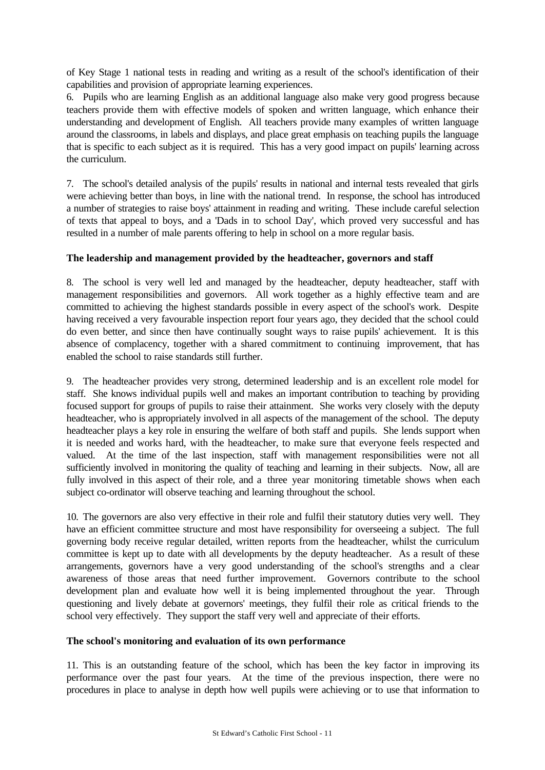of Key Stage 1 national tests in reading and writing as a result of the school's identification of their capabilities and provision of appropriate learning experiences.

6. Pupils who are learning English as an additional language also make very good progress because teachers provide them with effective models of spoken and written language, which enhance their understanding and development of English. All teachers provide many examples of written language around the classrooms, in labels and displays, and place great emphasis on teaching pupils the language that is specific to each subject as it is required. This has a very good impact on pupils' learning across the curriculum.

7. The school's detailed analysis of the pupils' results in national and internal tests revealed that girls were achieving better than boys, in line with the national trend. In response, the school has introduced a number of strategies to raise boys' attainment in reading and writing. These include careful selection of texts that appeal to boys, and a 'Dads in to school Day', which proved very successful and has resulted in a number of male parents offering to help in school on a more regular basis.

# **The leadership and management provided by the headteacher, governors and staff**

8. The school is very well led and managed by the headteacher, deputy headteacher, staff with management responsibilities and governors. All work together as a highly effective team and are committed to achieving the highest standards possible in every aspect of the school's work. Despite having received a very favourable inspection report four years ago, they decided that the school could do even better, and since then have continually sought ways to raise pupils' achievement. It is this absence of complacency, together with a shared commitment to continuing improvement, that has enabled the school to raise standards still further.

9. The headteacher provides very strong, determined leadership and is an excellent role model for staff. She knows individual pupils well and makes an important contribution to teaching by providing focused support for groups of pupils to raise their attainment. She works very closely with the deputy headteacher, who is appropriately involved in all aspects of the management of the school. The deputy headteacher plays a key role in ensuring the welfare of both staff and pupils. She lends support when it is needed and works hard, with the headteacher, to make sure that everyone feels respected and valued. At the time of the last inspection, staff with management responsibilities were not all sufficiently involved in monitoring the quality of teaching and learning in their subjects. Now, all are fully involved in this aspect of their role, and a three year monitoring timetable shows when each subject co-ordinator will observe teaching and learning throughout the school.

10. The governors are also very effective in their role and fulfil their statutory duties very well. They have an efficient committee structure and most have responsibility for overseeing a subject. The full governing body receive regular detailed, written reports from the headteacher, whilst the curriculum committee is kept up to date with all developments by the deputy headteacher. As a result of these arrangements, governors have a very good understanding of the school's strengths and a clear awareness of those areas that need further improvement. Governors contribute to the school development plan and evaluate how well it is being implemented throughout the year. Through questioning and lively debate at governors' meetings, they fulfil their role as critical friends to the school very effectively. They support the staff very well and appreciate of their efforts.

#### **The school's monitoring and evaluation of its own performance**

11. This is an outstanding feature of the school, which has been the key factor in improving its performance over the past four years. At the time of the previous inspection, there were no procedures in place to analyse in depth how well pupils were achieving or to use that information to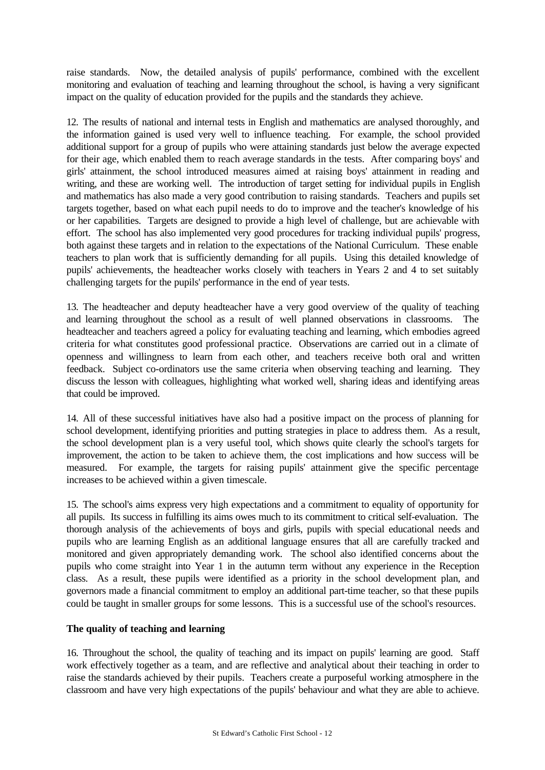raise standards. Now, the detailed analysis of pupils' performance, combined with the excellent monitoring and evaluation of teaching and learning throughout the school, is having a very significant impact on the quality of education provided for the pupils and the standards they achieve.

12. The results of national and internal tests in English and mathematics are analysed thoroughly, and the information gained is used very well to influence teaching. For example, the school provided additional support for a group of pupils who were attaining standards just below the average expected for their age, which enabled them to reach average standards in the tests. After comparing boys' and girls' attainment, the school introduced measures aimed at raising boys' attainment in reading and writing, and these are working well. The introduction of target setting for individual pupils in English and mathematics has also made a very good contribution to raising standards. Teachers and pupils set targets together, based on what each pupil needs to do to improve and the teacher's knowledge of his or her capabilities. Targets are designed to provide a high level of challenge, but are achievable with effort. The school has also implemented very good procedures for tracking individual pupils' progress, both against these targets and in relation to the expectations of the National Curriculum. These enable teachers to plan work that is sufficiently demanding for all pupils. Using this detailed knowledge of pupils' achievements, the headteacher works closely with teachers in Years 2 and 4 to set suitably challenging targets for the pupils' performance in the end of year tests.

13. The headteacher and deputy headteacher have a very good overview of the quality of teaching and learning throughout the school as a result of well planned observations in classrooms. The headteacher and teachers agreed a policy for evaluating teaching and learning, which embodies agreed criteria for what constitutes good professional practice. Observations are carried out in a climate of openness and willingness to learn from each other, and teachers receive both oral and written feedback. Subject co-ordinators use the same criteria when observing teaching and learning. They discuss the lesson with colleagues, highlighting what worked well, sharing ideas and identifying areas that could be improved.

14. All of these successful initiatives have also had a positive impact on the process of planning for school development, identifying priorities and putting strategies in place to address them. As a result, the school development plan is a very useful tool, which shows quite clearly the school's targets for improvement, the action to be taken to achieve them, the cost implications and how success will be measured. For example, the targets for raising pupils' attainment give the specific percentage increases to be achieved within a given timescale.

15. The school's aims express very high expectations and a commitment to equality of opportunity for all pupils. Its success in fulfilling its aims owes much to its commitment to critical self-evaluation. The thorough analysis of the achievements of boys and girls, pupils with special educational needs and pupils who are learning English as an additional language ensures that all are carefully tracked and monitored and given appropriately demanding work. The school also identified concerns about the pupils who come straight into Year 1 in the autumn term without any experience in the Reception class. As a result, these pupils were identified as a priority in the school development plan, and governors made a financial commitment to employ an additional part-time teacher, so that these pupils could be taught in smaller groups for some lessons. This is a successful use of the school's resources.

# **The quality of teaching and learning**

16. Throughout the school, the quality of teaching and its impact on pupils' learning are good. Staff work effectively together as a team, and are reflective and analytical about their teaching in order to raise the standards achieved by their pupils. Teachers create a purposeful working atmosphere in the classroom and have very high expectations of the pupils' behaviour and what they are able to achieve.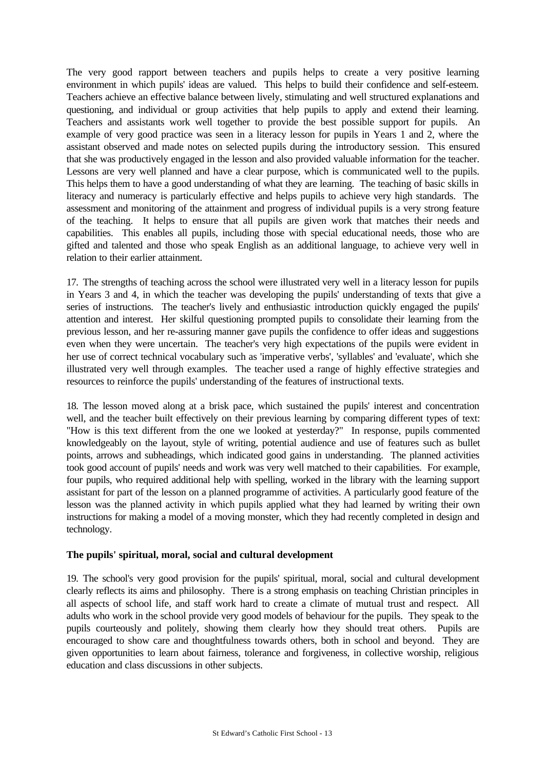The very good rapport between teachers and pupils helps to create a very positive learning environment in which pupils' ideas are valued. This helps to build their confidence and self-esteem. Teachers achieve an effective balance between lively, stimulating and well structured explanations and questioning, and individual or group activities that help pupils to apply and extend their learning. Teachers and assistants work well together to provide the best possible support for pupils. An example of very good practice was seen in a literacy lesson for pupils in Years 1 and 2, where the assistant observed and made notes on selected pupils during the introductory session. This ensured that she was productively engaged in the lesson and also provided valuable information for the teacher. Lessons are very well planned and have a clear purpose, which is communicated well to the pupils. This helps them to have a good understanding of what they are learning. The teaching of basic skills in literacy and numeracy is particularly effective and helps pupils to achieve very high standards. The assessment and monitoring of the attainment and progress of individual pupils is a very strong feature of the teaching. It helps to ensure that all pupils are given work that matches their needs and capabilities. This enables all pupils, including those with special educational needs, those who are gifted and talented and those who speak English as an additional language, to achieve very well in relation to their earlier attainment.

17. The strengths of teaching across the school were illustrated very well in a literacy lesson for pupils in Years 3 and 4, in which the teacher was developing the pupils' understanding of texts that give a series of instructions. The teacher's lively and enthusiastic introduction quickly engaged the pupils' attention and interest. Her skilful questioning prompted pupils to consolidate their learning from the previous lesson, and her re-assuring manner gave pupils the confidence to offer ideas and suggestions even when they were uncertain. The teacher's very high expectations of the pupils were evident in her use of correct technical vocabulary such as 'imperative verbs', 'syllables' and 'evaluate', which she illustrated very well through examples. The teacher used a range of highly effective strategies and resources to reinforce the pupils' understanding of the features of instructional texts.

18. The lesson moved along at a brisk pace, which sustained the pupils' interest and concentration well, and the teacher built effectively on their previous learning by comparing different types of text: "How is this text different from the one we looked at yesterday?" In response, pupils commented knowledgeably on the layout, style of writing, potential audience and use of features such as bullet points, arrows and subheadings, which indicated good gains in understanding. The planned activities took good account of pupils' needs and work was very well matched to their capabilities. For example, four pupils, who required additional help with spelling, worked in the library with the learning support assistant for part of the lesson on a planned programme of activities. A particularly good feature of the lesson was the planned activity in which pupils applied what they had learned by writing their own instructions for making a model of a moving monster, which they had recently completed in design and technology.

#### **The pupils' spiritual, moral, social and cultural development**

19. The school's very good provision for the pupils' spiritual, moral, social and cultural development clearly reflects its aims and philosophy. There is a strong emphasis on teaching Christian principles in all aspects of school life, and staff work hard to create a climate of mutual trust and respect. All adults who work in the school provide very good models of behaviour for the pupils. They speak to the pupils courteously and politely, showing them clearly how they should treat others. Pupils are encouraged to show care and thoughtfulness towards others, both in school and beyond. They are given opportunities to learn about fairness, tolerance and forgiveness, in collective worship, religious education and class discussions in other subjects.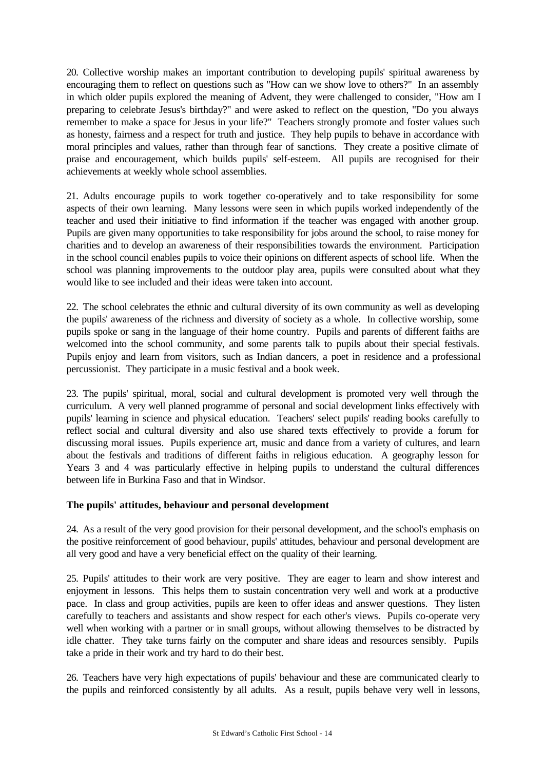20. Collective worship makes an important contribution to developing pupils' spiritual awareness by encouraging them to reflect on questions such as "How can we show love to others?" In an assembly in which older pupils explored the meaning of Advent, they were challenged to consider, "How am I preparing to celebrate Jesus's birthday?" and were asked to reflect on the question, "Do you always remember to make a space for Jesus in your life?" Teachers strongly promote and foster values such as honesty, fairness and a respect for truth and justice. They help pupils to behave in accordance with moral principles and values, rather than through fear of sanctions. They create a positive climate of praise and encouragement, which builds pupils' self-esteem. All pupils are recognised for their achievements at weekly whole school assemblies.

21. Adults encourage pupils to work together co-operatively and to take responsibility for some aspects of their own learning. Many lessons were seen in which pupils worked independently of the teacher and used their initiative to find information if the teacher was engaged with another group. Pupils are given many opportunities to take responsibility for jobs around the school, to raise money for charities and to develop an awareness of their responsibilities towards the environment. Participation in the school council enables pupils to voice their opinions on different aspects of school life. When the school was planning improvements to the outdoor play area, pupils were consulted about what they would like to see included and their ideas were taken into account.

22. The school celebrates the ethnic and cultural diversity of its own community as well as developing the pupils' awareness of the richness and diversity of society as a whole. In collective worship, some pupils spoke or sang in the language of their home country. Pupils and parents of different faiths are welcomed into the school community, and some parents talk to pupils about their special festivals. Pupils enjoy and learn from visitors, such as Indian dancers, a poet in residence and a professional percussionist. They participate in a music festival and a book week.

23. The pupils' spiritual, moral, social and cultural development is promoted very well through the curriculum. A very well planned programme of personal and social development links effectively with pupils' learning in science and physical education. Teachers' select pupils' reading books carefully to reflect social and cultural diversity and also use shared texts effectively to provide a forum for discussing moral issues. Pupils experience art, music and dance from a variety of cultures, and learn about the festivals and traditions of different faiths in religious education. A geography lesson for Years 3 and 4 was particularly effective in helping pupils to understand the cultural differences between life in Burkina Faso and that in Windsor.

# **The pupils' attitudes, behaviour and personal development**

24. As a result of the very good provision for their personal development, and the school's emphasis on the positive reinforcement of good behaviour, pupils' attitudes, behaviour and personal development are all very good and have a very beneficial effect on the quality of their learning.

25. Pupils' attitudes to their work are very positive. They are eager to learn and show interest and enjoyment in lessons. This helps them to sustain concentration very well and work at a productive pace. In class and group activities, pupils are keen to offer ideas and answer questions. They listen carefully to teachers and assistants and show respect for each other's views. Pupils co-operate very well when working with a partner or in small groups, without allowing themselves to be distracted by idle chatter. They take turns fairly on the computer and share ideas and resources sensibly. Pupils take a pride in their work and try hard to do their best.

26. Teachers have very high expectations of pupils' behaviour and these are communicated clearly to the pupils and reinforced consistently by all adults. As a result, pupils behave very well in lessons,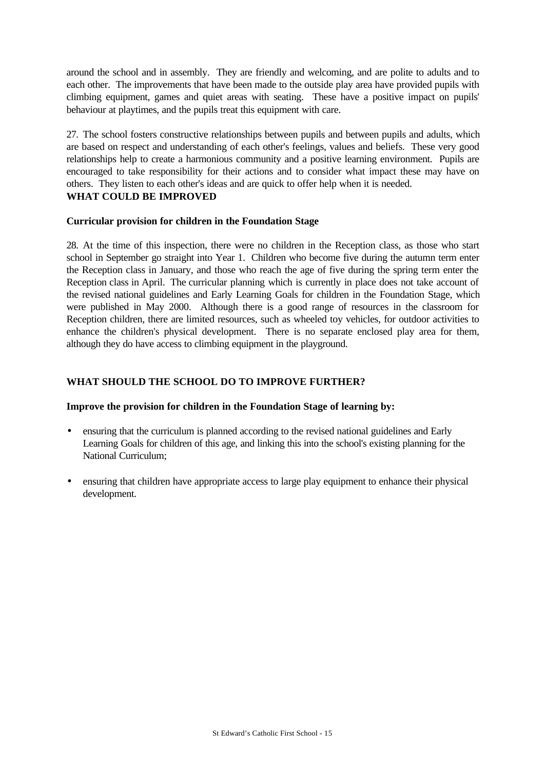around the school and in assembly. They are friendly and welcoming, and are polite to adults and to each other. The improvements that have been made to the outside play area have provided pupils with climbing equipment, games and quiet areas with seating. These have a positive impact on pupils' behaviour at playtimes, and the pupils treat this equipment with care.

27. The school fosters constructive relationships between pupils and between pupils and adults, which are based on respect and understanding of each other's feelings, values and beliefs. These very good relationships help to create a harmonious community and a positive learning environment. Pupils are encouraged to take responsibility for their actions and to consider what impact these may have on others. They listen to each other's ideas and are quick to offer help when it is needed. **WHAT COULD BE IMPROVED**

#### **Curricular provision for children in the Foundation Stage**

28. At the time of this inspection, there were no children in the Reception class, as those who start school in September go straight into Year 1. Children who become five during the autumn term enter the Reception class in January, and those who reach the age of five during the spring term enter the Reception class in April. The curricular planning which is currently in place does not take account of the revised national guidelines and Early Learning Goals for children in the Foundation Stage, which were published in May 2000. Although there is a good range of resources in the classroom for Reception children, there are limited resources, such as wheeled toy vehicles, for outdoor activities to enhance the children's physical development. There is no separate enclosed play area for them, although they do have access to climbing equipment in the playground.

# **WHAT SHOULD THE SCHOOL DO TO IMPROVE FURTHER?**

# **Improve the provision for children in the Foundation Stage of learning by:**

- ensuring that the curriculum is planned according to the revised national guidelines and Early Learning Goals for children of this age, and linking this into the school's existing planning for the National Curriculum;
- ensuring that children have appropriate access to large play equipment to enhance their physical development.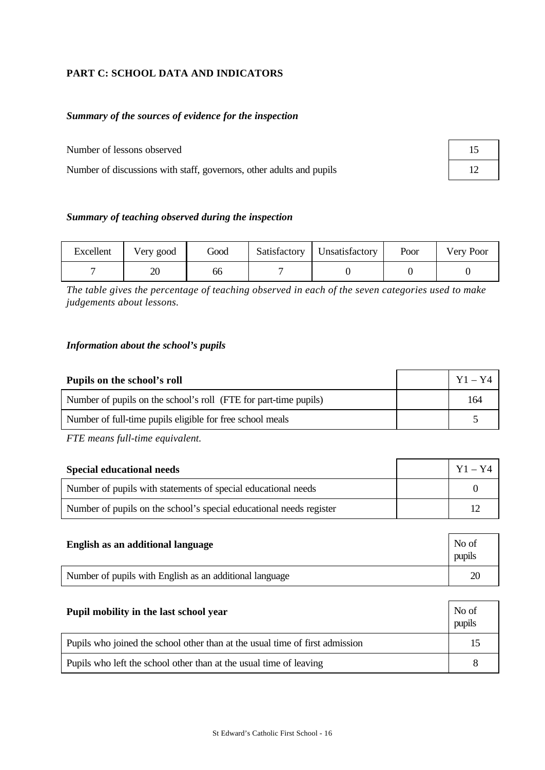# **PART C: SCHOOL DATA AND INDICATORS**

# *Summary of the sources of evidence for the inspection*

Number of lessons observed

Number of discussions with staff, governors, other adults and pupils

| 15 |  |
|----|--|
| 12 |  |

## *Summary of teaching observed during the inspection*

| Excellent | Very good | Good | Satisfactory   Unsatisfactory | Poor | Very Poor |
|-----------|-----------|------|-------------------------------|------|-----------|
|           | ZU        | 66   |                               |      |           |

*The table gives the percentage of teaching observed in each of the seven categories used to make judgements about lessons.*

#### *Information about the school's pupils*

| Pupils on the school's roll                                      | $Y1 - Y4$ |
|------------------------------------------------------------------|-----------|
| Number of pupils on the school's roll (FTE for part-time pupils) | 164       |
| Number of full-time pupils eligible for free school meals        |           |

*FTE means full-time equivalent.*

| <b>Special educational needs</b>                                    | $Y1 - Y4$ |
|---------------------------------------------------------------------|-----------|
| Number of pupils with statements of special educational needs       |           |
| Number of pupils on the school's special educational needs register |           |

| English as an additional language                       | No of<br>pupils |
|---------------------------------------------------------|-----------------|
| Number of pupils with English as an additional language | 2 <sup>c</sup>  |

| Pupil mobility in the last school year                                       | No of<br>pupils |
|------------------------------------------------------------------------------|-----------------|
| Pupils who joined the school other than at the usual time of first admission |                 |
| Pupils who left the school other than at the usual time of leaving           |                 |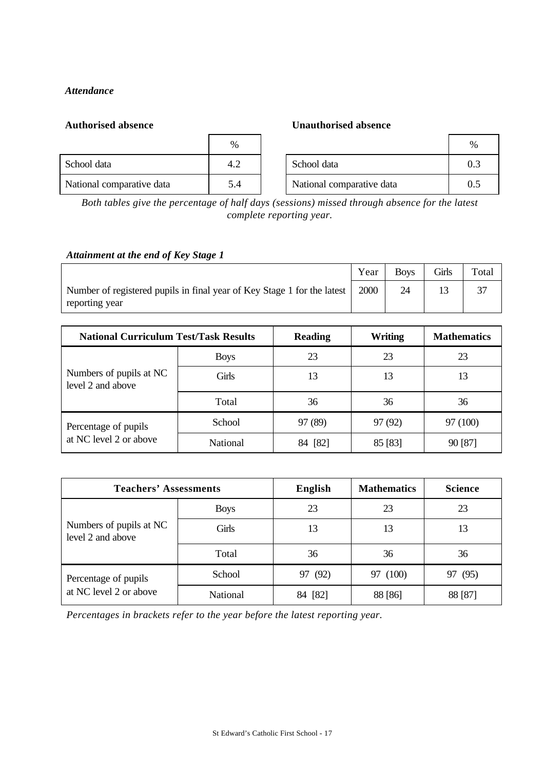# *Attendance*

| School data               |     |
|---------------------------|-----|
| National comparative data | 5.4 |

# **Authorised absence Unauthorised absence**

|                           | %   |                           | $\%$ |
|---------------------------|-----|---------------------------|------|
| School data               | 4.2 | School data               | 0.3  |
| National comparative data | 5.4 | National comparative data | 0.5  |

*Both tables give the percentage of half days (sessions) missed through absence for the latest complete reporting year.*

### *Attainment at the end of Key Stage 1*

|                                                                                           | Year | <b>Boys</b> | Girls | Total |
|-------------------------------------------------------------------------------------------|------|-------------|-------|-------|
| Number of registered pupils in final year of Key Stage 1 for the latest<br>reporting year | 2000 | 24          |       |       |

| <b>National Curriculum Test/Task Results</b> |             | <b>Reading</b> | Writing | <b>Mathematics</b> |
|----------------------------------------------|-------------|----------------|---------|--------------------|
|                                              | <b>Boys</b> | 23             | 23      | 23                 |
| Numbers of pupils at NC<br>level 2 and above | Girls       | 13             | 13      | 13                 |
|                                              | Total       | 36             | 36      | 36                 |
| Percentage of pupils                         | School      | 97 (89)        | 97 (92) | 97 (100)           |
| at NC level 2 or above                       | National    | [82]           | 85 [83] | 90 [87]            |

| <b>Teachers' Assessments</b>                 |             | English    | <b>Mathematics</b> | <b>Science</b> |
|----------------------------------------------|-------------|------------|--------------------|----------------|
|                                              | <b>Boys</b> | 23         | 23                 | 23             |
| Numbers of pupils at NC<br>level 2 and above | Girls       | 13         | 13                 | 13             |
|                                              | Total       | 36         | 36                 | 36             |
| Percentage of pupils                         | School      | 97 (92)    | (100)<br>97        | 97 (95)        |
| at NC level 2 or above                       | National    | [82]<br>84 | 88 [86]            | 88 [87]        |

*Percentages in brackets refer to the year before the latest reporting year.*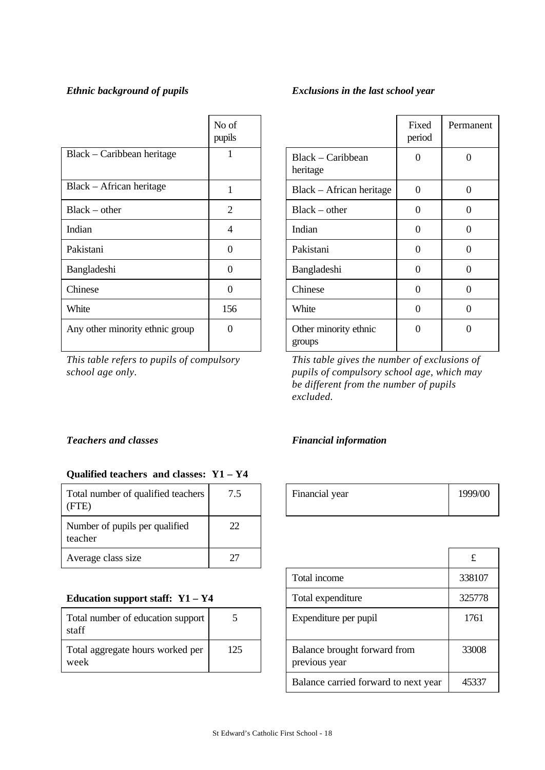|                                 | No of<br>pupils |                                 | Fixed<br>period | Perma            |
|---------------------------------|-----------------|---------------------------------|-----------------|------------------|
| Black – Caribbean heritage      | 1               | Black – Caribbean<br>heritage   | $\Omega$        | $\boldsymbol{0}$ |
| Black – African heritage        | 1               | Black – African heritage        | $\Omega$        | $\overline{0}$   |
| $Black - other$                 | $\overline{2}$  | $Black - other$                 | $\Omega$        | $\overline{0}$   |
| Indian                          | 4               | Indian                          | $\Omega$        | $\boldsymbol{0}$ |
| Pakistani                       | $\Omega$        | Pakistani                       | $\Omega$        | $\overline{0}$   |
| Bangladeshi                     | $\theta$        | Bangladeshi                     | $\Omega$        | $\theta$         |
| Chinese                         | $\theta$        | Chinese                         | $\Omega$        | $\theta$         |
| White                           | 156             | White                           | $\Omega$        | $\boldsymbol{0}$ |
| Any other minority ethnic group | $\theta$        | Other minority ethnic<br>groups | $\Omega$        | $\overline{0}$   |

*This table refers to pupils of compulsory school age only.*

# *Ethnic background of pupils Exclusions in the last school year*

|                                 | Fixed<br>period | Permanent |
|---------------------------------|-----------------|-----------|
| Black – Caribbean<br>heritage   | 0               | 0         |
| Black - African heritage        | 0               | 0         |
| $Black - other$                 | 0               | 0         |
| Indian                          | 0               | 0         |
| Pakistani                       | 0               | 0         |
| Bangladeshi                     | 0               | 0         |
| Chinese                         | 0               | 0         |
| White                           | 0               | 0         |
| Other minority ethnic<br>groups | 0               | 0         |

*This table gives the number of exclusions of pupils of compulsory school age, which may be different from the number of pupils excluded.*

# *Teachers and classes Financial information*

# **Qualified teachers and classes: Y1 – Y4**

| Total number of qualified teachers<br>(FTE) | 7.5 | Financial year | 1999 |
|---------------------------------------------|-----|----------------|------|
| Number of pupils per qualified<br>teacher   | 22  |                |      |
| Average class size                          | 27  |                | £    |

# **Education support staff:**  $Y1 - Y4$

| Total number of education support<br>staff |     |
|--------------------------------------------|-----|
| Total aggregate hours worked per<br>week   | 125 |

| 7.5 | Financial year | 1999/00 |
|-----|----------------|---------|
|     |                |         |

| 27  |                                               |                                      | £      |
|-----|-----------------------------------------------|--------------------------------------|--------|
|     |                                               | Total income                         | 338107 |
|     |                                               | Total expenditure                    | 325778 |
|     |                                               | Expenditure per pupil                | 1761   |
| 125 | Balance brought forward from<br>previous year |                                      | 33008  |
|     |                                               | Balance carried forward to next year | 45337  |